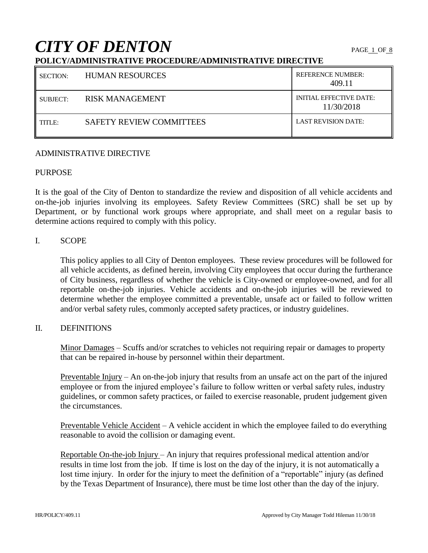# **CITY OF DENTON**

# **POLICY/ADMINISTRATIVE PROCEDURE/ADMINISTRATIVE DIRECTIVE**

| SECTION: | <b>HUMAN RESOURCES</b>          | <b>REFERENCE NUMBER:</b><br>409.11           |
|----------|---------------------------------|----------------------------------------------|
| SUBJECT: | RISK MANAGEMENT                 | <b>INITIAL EFFECTIVE DATE:</b><br>11/30/2018 |
| TITLE:   | <b>SAFETY REVIEW COMMITTEES</b> | <b>LAST REVISION DATE:</b>                   |

## ADMINISTRATIVE DIRECTIVE

# PURPOSE

It is the goal of the City of Denton to standardize the review and disposition of all vehicle accidents and on-the-job injuries involving its employees. Safety Review Committees (SRC) shall be set up by Department, or by functional work groups where appropriate, and shall meet on a regular basis to determine actions required to comply with this policy.

## I. SCOPE

This policy applies to all City of Denton employees. These review procedures will be followed for all vehicle accidents, as defined herein, involving City employees that occur during the furtherance of City business, regardless of whether the vehicle is City-owned or employee-owned, and for all reportable on-the-job injuries. Vehicle accidents and on-the-job injuries will be reviewed to determine whether the employee committed a preventable, unsafe act or failed to follow written and/or verbal safety rules, commonly accepted safety practices, or industry guidelines.

# II. DEFINITIONS

Minor Damages – Scuffs and/or scratches to vehicles not requiring repair or damages to property that can be repaired in-house by personnel within their department.

Preventable Injury – An on-the-job injury that results from an unsafe act on the part of the injured employee or from the injured employee's failure to follow written or verbal safety rules, industry guidelines, or common safety practices, or failed to exercise reasonable, prudent judgement given the circumstances.

Preventable Vehicle Accident – A vehicle accident in which the employee failed to do everything reasonable to avoid the collision or damaging event.

Reportable On-the-job Injury – An injury that requires professional medical attention and/or results in time lost from the job. If time is lost on the day of the injury, it is not automatically a lost time injury. In order for the injury to meet the definition of a "reportable" injury (as defined by the Texas Department of Insurance), there must be time lost other than the day of the injury.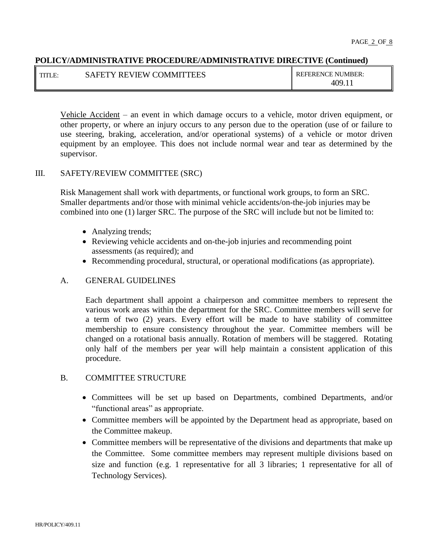| $\cdot$ TITI F | <b>SAFETY REVIEW COMMITTEES</b> | <b>REFERENCE NUMBER:</b> |
|----------------|---------------------------------|--------------------------|
|                |                                 | 409.1.                   |

Vehicle Accident – an event in which damage occurs to a vehicle, motor driven equipment, or other property, or where an injury occurs to any person due to the operation (use of or failure to use steering, braking, acceleration, and/or operational systems) of a vehicle or motor driven equipment by an employee. This does not include normal wear and tear as determined by the supervisor.

# III. SAFETY/REVIEW COMMITTEE (SRC)

Risk Management shall work with departments, or functional work groups, to form an SRC. Smaller departments and/or those with minimal vehicle accidents/on-the-job injuries may be combined into one (1) larger SRC. The purpose of the SRC will include but not be limited to:

- Analyzing trends;
- Reviewing vehicle accidents and on-the-job injuries and recommending point assessments (as required); and
- Recommending procedural, structural, or operational modifications (as appropriate).

# A. GENERAL GUIDELINES

Each department shall appoint a chairperson and committee members to represent the various work areas within the department for the SRC. Committee members will serve for a term of two (2) years. Every effort will be made to have stability of committee membership to ensure consistency throughout the year. Committee members will be changed on a rotational basis annually. Rotation of members will be staggered. Rotating only half of the members per year will help maintain a consistent application of this procedure.

# B. COMMITTEE STRUCTURE

- Committees will be set up based on Departments, combined Departments, and/or "functional areas" as appropriate.
- Committee members will be appointed by the Department head as appropriate, based on the Committee makeup.
- Committee members will be representative of the divisions and departments that make up the Committee. Some committee members may represent multiple divisions based on size and function (e.g. 1 representative for all 3 libraries; 1 representative for all of Technology Services).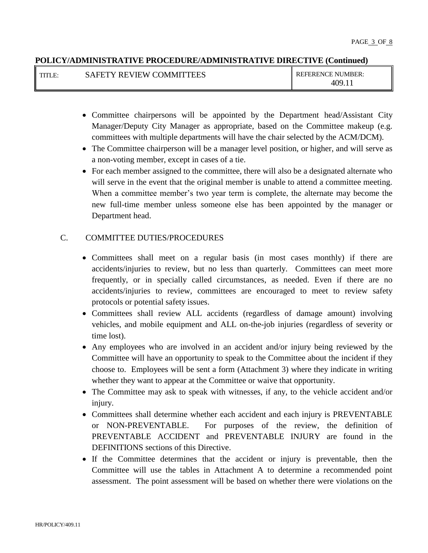| TITLE. | <b>SAFETY REVIEW COMMITTEES</b> | <b>REFERENCE NUMBER:</b> |
|--------|---------------------------------|--------------------------|
|        |                                 | 40e                      |

- Committee chairpersons will be appointed by the Department head/Assistant City Manager/Deputy City Manager as appropriate, based on the Committee makeup (e.g. committees with multiple departments will have the chair selected by the ACM/DCM).
- The Committee chairperson will be a manager level position, or higher, and will serve as a non-voting member, except in cases of a tie.
- For each member assigned to the committee, there will also be a designated alternate who will serve in the event that the original member is unable to attend a committee meeting. When a committee member's two year term is complete, the alternate may become the new full-time member unless someone else has been appointed by the manager or Department head.

# C. COMMITTEE DUTIES/PROCEDURES

- Committees shall meet on a regular basis (in most cases monthly) if there are accidents/injuries to review, but no less than quarterly. Committees can meet more frequently, or in specially called circumstances, as needed. Even if there are no accidents/injuries to review, committees are encouraged to meet to review safety protocols or potential safety issues.
- Committees shall review ALL accidents (regardless of damage amount) involving vehicles, and mobile equipment and ALL on-the-job injuries (regardless of severity or time lost).
- Any employees who are involved in an accident and/or injury being reviewed by the Committee will have an opportunity to speak to the Committee about the incident if they choose to. Employees will be sent a form (Attachment 3) where they indicate in writing whether they want to appear at the Committee or waive that opportunity.
- The Committee may ask to speak with witnesses, if any, to the vehicle accident and/or injury.
- Committees shall determine whether each accident and each injury is PREVENTABLE or NON-PREVENTABLE. For purposes of the review, the definition of PREVENTABLE ACCIDENT and PREVENTABLE INJURY are found in the DEFINITIONS sections of this Directive.
- If the Committee determines that the accident or injury is preventable, then the Committee will use the tables in Attachment A to determine a recommended point assessment. The point assessment will be based on whether there were violations on the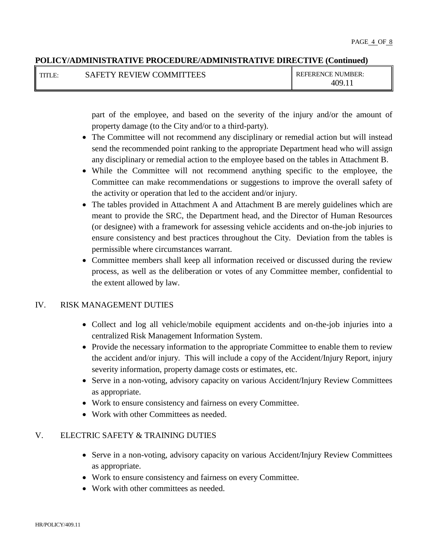| I TITLE: | <b>SAFETY REVIEW COMMITTEES</b> | <b>REFERENCE NUMBER:</b> |
|----------|---------------------------------|--------------------------|
|          |                                 | 409                      |

part of the employee, and based on the severity of the injury and/or the amount of property damage (to the City and/or to a third-party).

- The Committee will not recommend any disciplinary or remedial action but will instead send the recommended point ranking to the appropriate Department head who will assign any disciplinary or remedial action to the employee based on the tables in Attachment B.
- While the Committee will not recommend anything specific to the employee, the Committee can make recommendations or suggestions to improve the overall safety of the activity or operation that led to the accident and/or injury.
- The tables provided in Attachment A and Attachment B are merely guidelines which are meant to provide the SRC, the Department head, and the Director of Human Resources (or designee) with a framework for assessing vehicle accidents and on-the-job injuries to ensure consistency and best practices throughout the City. Deviation from the tables is permissible where circumstances warrant.
- Committee members shall keep all information received or discussed during the review process, as well as the deliberation or votes of any Committee member, confidential to the extent allowed by law.

# IV. RISK MANAGEMENT DUTIES

- Collect and log all vehicle/mobile equipment accidents and on-the-job injuries into a centralized Risk Management Information System.
- Provide the necessary information to the appropriate Committee to enable them to review the accident and/or injury. This will include a copy of the Accident/Injury Report, injury severity information, property damage costs or estimates, etc.
- Serve in a non-voting, advisory capacity on various Accident/Injury Review Committees as appropriate.
- Work to ensure consistency and fairness on every Committee.
- Work with other Committees as needed.

# V. ELECTRIC SAFETY & TRAINING DUTIES

- Serve in a non-voting, advisory capacity on various Accident/Injury Review Committees as appropriate.
- Work to ensure consistency and fairness on every Committee.
- Work with other committees as needed.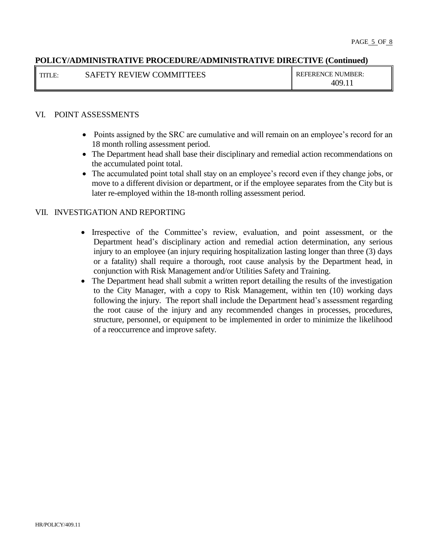| I TITLE: | <b>SAFETY REVIEW COMMITTEES</b> | <b>REFERENCE NUMBER:</b> |
|----------|---------------------------------|--------------------------|
|          |                                 | 409.1.                   |

# VI. POINT ASSESSMENTS

- Points assigned by the SRC are cumulative and will remain on an employee's record for an 18 month rolling assessment period.
- The Department head shall base their disciplinary and remedial action recommendations on the accumulated point total.
- The accumulated point total shall stay on an employee's record even if they change jobs, or move to a different division or department, or if the employee separates from the City but is later re-employed within the 18-month rolling assessment period.

## VII. INVESTIGATION AND REPORTING

- Irrespective of the Committee's review, evaluation, and point assessment, or the Department head's disciplinary action and remedial action determination, any serious injury to an employee (an injury requiring hospitalization lasting longer than three (3) days or a fatality) shall require a thorough, root cause analysis by the Department head, in conjunction with Risk Management and/or Utilities Safety and Training.
- The Department head shall submit a written report detailing the results of the investigation to the City Manager, with a copy to Risk Management, within ten (10) working days following the injury. The report shall include the Department head's assessment regarding the root cause of the injury and any recommended changes in processes, procedures, structure, personnel, or equipment to be implemented in order to minimize the likelihood of a reoccurrence and improve safety.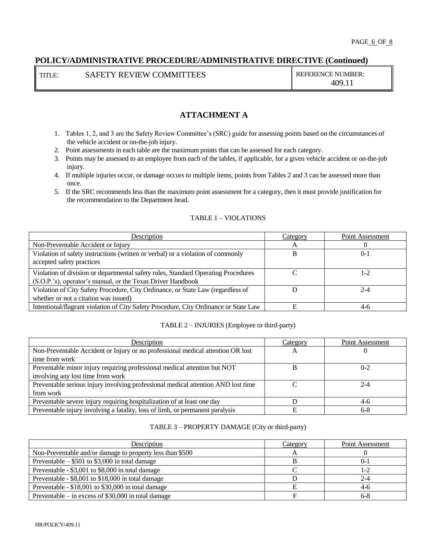TITLE: SAFETY REVIEW COMMITTEES REFERENCE NUMBER:

409.11

# **ATTACHMENT A**

- 1. Tables 1, 2, and 3 are the Safety Review Committee's (SRC) guide for assessing points based on the circumstances of the vehicle accident or on-the-job injury.
- 2. Point assessments in each table are the maximum points that can be assessed for each category.
- 3. Points may be assessed to an employee from each of the tables, if applicable, for a given vehicle accident or on-the-job injury.
- 4. If multiple injuries occur, or damage occurs to multiple items, points from Tables 2 and 3 can be assessed more than once.
- 5. If the SRC recommends less than the maximum point assessment for a category, then it must provide justification for the recommendation to the Department head.

#### TABLE 1 – VIOLATIONS

| Description                                                                          | Category | Point Assessment |
|--------------------------------------------------------------------------------------|----------|------------------|
| Non-Preventable Accident or Injury                                                   | A        |                  |
| Violation of safety instructions (written or verbal) or a violation of commonly      | B        | $0 - 1$          |
| accepted safety practices                                                            |          |                  |
| Violation of division or departmental safety rules, Standard Operating Procedures    |          | 1-2              |
| (S.O.P.'s), operator's manual, or the Texas Driver Handbook                          |          |                  |
| Violation of City Safety Procedure, City Ordinance, or State Law (regardless of      |          | $2 - 4$          |
| whether or not a citation was issued)                                                |          |                  |
| Intentional/flagrant violation of City Safety Procedure, City Ordinance or State Law |          | 4-6              |

#### TABLE 2 – INJURIES (Employee or third-party)

| Description                                                                       | Category | Point Assessment |
|-----------------------------------------------------------------------------------|----------|------------------|
| Non-Preventable Accident or Injury or no professional medical attention OR lost   | А        |                  |
| time from work                                                                    |          |                  |
| Preventable minor injury requiring professional medical attention but NOT         | B        | $0 - 2$          |
| involving any lost time from work                                                 |          |                  |
| Preventable serious injury involving professional medical attention AND lost time |          | $2 - 4$          |
| from work                                                                         |          |                  |
| Preventable severe injury requiring hospitalization of at least one day           |          | $4-6$            |
| Preventable injury involving a fatality, loss of limb, or permanent paralysis     |          | $6-8$            |

#### TABLE 3 – PROPERTY DAMAGE (City or third-party)

| Description                                               | Category | Point Assessment |
|-----------------------------------------------------------|----------|------------------|
| Non-Preventable and/or damage to property less than \$500 |          |                  |
| Preventable $-$ \$501 to \$3,000 in total damage          |          | $0-1$            |
| Preventable - \$3,001 to \$8,000 in total damage          |          | 1-2              |
| Preventable - \$8,001 to \$18,000 in total damage         |          | $2 - 4$          |
| Preventable $-$ \$18,001 to \$30,000 in total damage      |          | $4-6$            |
| Preventable – in excess of $$30,000$ in total damage      |          | $6 - 8$          |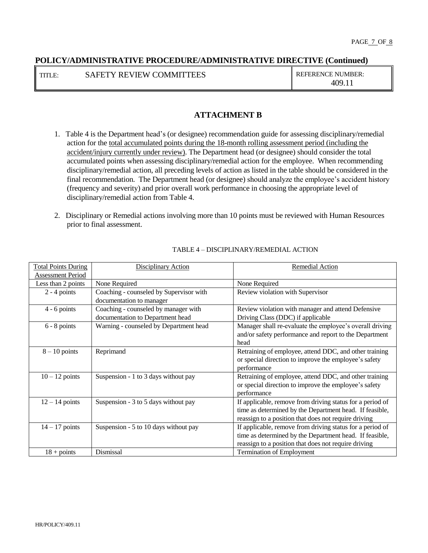TITLE: SAFETY REVIEW COMMITTEES REFERENCE NUMBER:

409.11

# **ATTACHMENT B**

- 1. Table 4 is the Department head's (or designee) recommendation guide for assessing disciplinary/remedial action for the total accumulated points during the 18-month rolling assessment period (including the accident/injury currently under review). The Department head (or designee) should consider the total accumulated points when assessing disciplinary/remedial action for the employee. When recommending disciplinary/remedial action, all preceding levels of action as listed in the table should be considered in the final recommendation. The Department head (or designee) should analyze the employee's accident history (frequency and severity) and prior overall work performance in choosing the appropriate level of disciplinary/remedial action from Table 4.
- 2. Disciplinary or Remedial actions involving more than 10 points must be reviewed with Human Resources prior to final assessment.

| <b>Total Points During</b> | Disciplinary Action                     | <b>Remedial Action</b>                                                                                                                                                       |
|----------------------------|-----------------------------------------|------------------------------------------------------------------------------------------------------------------------------------------------------------------------------|
| <b>Assessment Period</b>   |                                         |                                                                                                                                                                              |
| Less than 2 points         | None Required                           | None Required                                                                                                                                                                |
| $2 - 4$ points             | Coaching - counseled by Supervisor with | Review violation with Supervisor                                                                                                                                             |
|                            | documentation to manager                |                                                                                                                                                                              |
| $4 - 6$ points             | Coaching - counseled by manager with    | Review violation with manager and attend Defensive                                                                                                                           |
|                            | documentation to Department head        | Driving Class (DDC) if applicable                                                                                                                                            |
| $6 - 8$ points             | Warning - counseled by Department head  | Manager shall re-evaluate the employee's overall driving<br>and/or safety performance and report to the Department<br>head                                                   |
| $8 - 10$ points            | Reprimand                               | Retraining of employee, attend DDC, and other training<br>or special direction to improve the employee's safety<br>performance                                               |
| $10 - 12$ points           | Suspension - 1 to 3 days without pay    | Retraining of employee, attend DDC, and other training<br>or special direction to improve the employee's safety<br>performance                                               |
| $12 - 14$ points           | Suspension - 3 to 5 days without pay    | If applicable, remove from driving status for a period of<br>time as determined by the Department head. If feasible,<br>reassign to a position that does not require driving |
| $14 - 17$ points           | Suspension - 5 to 10 days without pay   | If applicable, remove from driving status for a period of<br>time as determined by the Department head. If feasible,<br>reassign to a position that does not require driving |
| $18 + \text{points}$       | Dismissal                               | <b>Termination of Employment</b>                                                                                                                                             |

#### TABLE 4 – DISCIPLINARY/REMEDIAL ACTION